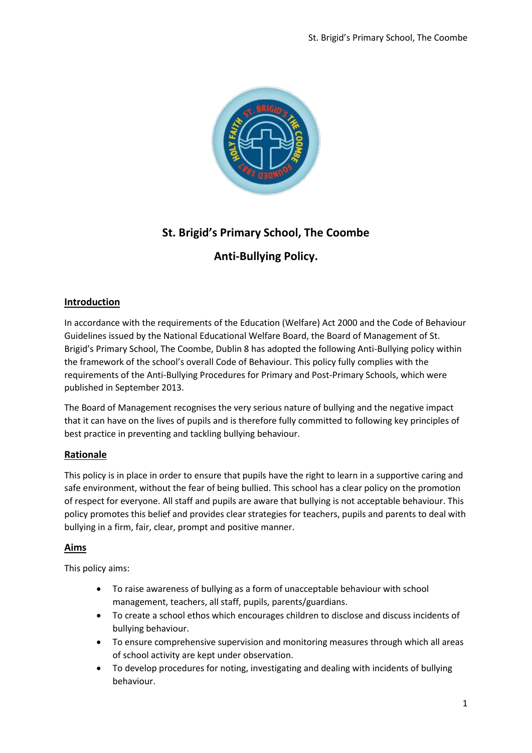

# **St. Brigid's Primary School, The Coombe**

## **Anti-Bullying Policy.**

## **Introduction**

In accordance with the requirements of the Education (Welfare) Act 2000 and the Code of Behaviour Guidelines issued by the National Educational Welfare Board, the Board of Management of St. Brigid's Primary School, The Coombe, Dublin 8 has adopted the following Anti-Bullying policy within the framework of the school's overall Code of Behaviour. This policy fully complies with the requirements of the Anti-Bullying Procedures for Primary and Post-Primary Schools, which were published in September 2013.

The Board of Management recognises the very serious nature of bullying and the negative impact that it can have on the lives of pupils and is therefore fully committed to following key principles of best practice in preventing and tackling bullying behaviour.

### **Rationale**

This policy is in place in order to ensure that pupils have the right to learn in a supportive caring and safe environment, without the fear of being bullied. This school has a clear policy on the promotion of respect for everyone. All staff and pupils are aware that bullying is not acceptable behaviour. This policy promotes this belief and provides clear strategies for teachers, pupils and parents to deal with bullying in a firm, fair, clear, prompt and positive manner.

### **Aims**

This policy aims:

- To raise awareness of bullying as a form of unacceptable behaviour with school management, teachers, all staff, pupils, parents/guardians.
- To create a school ethos which encourages children to disclose and discuss incidents of bullying behaviour.
- To ensure comprehensive supervision and monitoring measures through which all areas of school activity are kept under observation.
- To develop procedures for noting, investigating and dealing with incidents of bullying behaviour.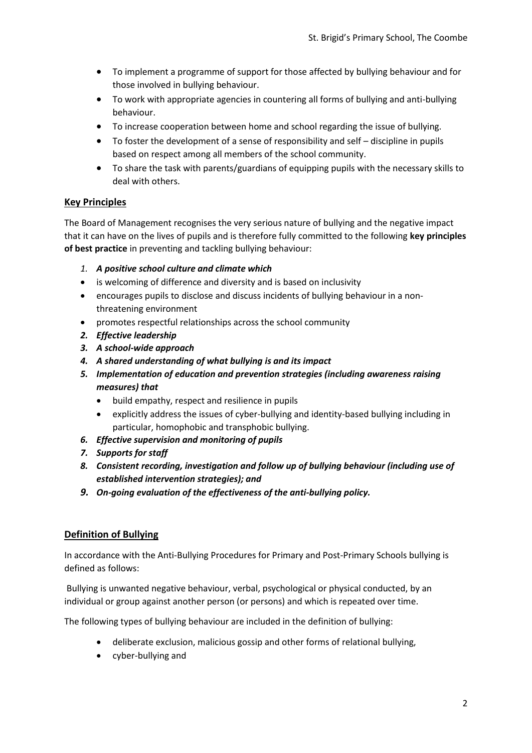- To implement a programme of support for those affected by bullying behaviour and for those involved in bullying behaviour.
- To work with appropriate agencies in countering all forms of bullying and anti-bullying behaviour.
- To increase cooperation between home and school regarding the issue of bullying.
- To foster the development of a sense of responsibility and self discipline in pupils based on respect among all members of the school community.
- To share the task with parents/guardians of equipping pupils with the necessary skills to deal with others.

## **Key Principles**

The Board of Management recognises the very serious nature of bullying and the negative impact that it can have on the lives of pupils and is therefore fully committed to the following **key principles of best practice** in preventing and tackling bullying behaviour:

- *1. A positive school culture and climate which*
- is welcoming of difference and diversity and is based on inclusivity
- encourages pupils to disclose and discuss incidents of bullying behaviour in a nonthreatening environment
- promotes respectful relationships across the school community
- *2. Effective leadership*
- *3. A school-wide approach*
- *4. A shared understanding of what bullying is and its impact*
- *5. Implementation of education and prevention strategies (including awareness raising measures) that*
	- build empathy, respect and resilience in pupils
	- explicitly address the issues of cyber-bullying and identity-based bullying including in particular, homophobic and transphobic bullying.
- *6. Effective supervision and monitoring of pupils*
- *7. Supports for staff*
- *8. Consistent recording, investigation and follow up of bullying behaviour (including use of established intervention strategies); and*
- *9. On-going evaluation of the effectiveness of the anti-bullying policy.*

### **Definition of Bullying**

In accordance with the Anti-Bullying Procedures for Primary and Post-Primary Schools bullying is defined as follows:

Bullying is unwanted negative behaviour, verbal, psychological or physical conducted, by an individual or group against another person (or persons) and which is repeated over time.

The following types of bullying behaviour are included in the definition of bullying:

- deliberate exclusion, malicious gossip and other forms of relational bullying,
- cyber-bullying and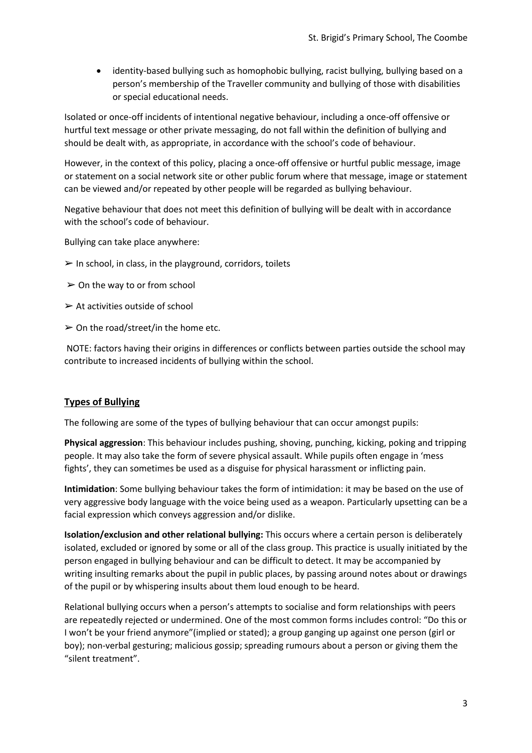identity-based bullying such as homophobic bullying, racist bullying, bullying based on a person's membership of the Traveller community and bullying of those with disabilities or special educational needs.

Isolated or once-off incidents of intentional negative behaviour, including a once-off offensive or hurtful text message or other private messaging, do not fall within the definition of bullying and should be dealt with, as appropriate, in accordance with the school's code of behaviour.

However, in the context of this policy, placing a once-off offensive or hurtful public message, image or statement on a social network site or other public forum where that message, image or statement can be viewed and/or repeated by other people will be regarded as bullying behaviour.

Negative behaviour that does not meet this definition of bullying will be dealt with in accordance with the school's code of behaviour.

Bullying can take place anywhere:

- $\triangleright$  In school, in class, in the playground, corridors, toilets
- $\geq$  On the way to or from school
- $\triangleright$  At activities outside of school
- $\geq$  On the road/street/in the home etc.

NOTE: factors having their origins in differences or conflicts between parties outside the school may contribute to increased incidents of bullying within the school.

### **Types of Bullying**

The following are some of the types of bullying behaviour that can occur amongst pupils:

**Physical aggression**: This behaviour includes pushing, shoving, punching, kicking, poking and tripping people. It may also take the form of severe physical assault. While pupils often engage in 'mess fights', they can sometimes be used as a disguise for physical harassment or inflicting pain.

**Intimidation**: Some bullying behaviour takes the form of intimidation: it may be based on the use of very aggressive body language with the voice being used as a weapon. Particularly upsetting can be a facial expression which conveys aggression and/or dislike.

**Isolation/exclusion and other relational bullying:** This occurs where a certain person is deliberately isolated, excluded or ignored by some or all of the class group. This practice is usually initiated by the person engaged in bullying behaviour and can be difficult to detect. It may be accompanied by writing insulting remarks about the pupil in public places, by passing around notes about or drawings of the pupil or by whispering insults about them loud enough to be heard.

Relational bullying occurs when a person's attempts to socialise and form relationships with peers are repeatedly rejected or undermined. One of the most common forms includes control: "Do this or I won't be your friend anymore"(implied or stated); a group ganging up against one person (girl or boy); non-verbal gesturing; malicious gossip; spreading rumours about a person or giving them the "silent treatment".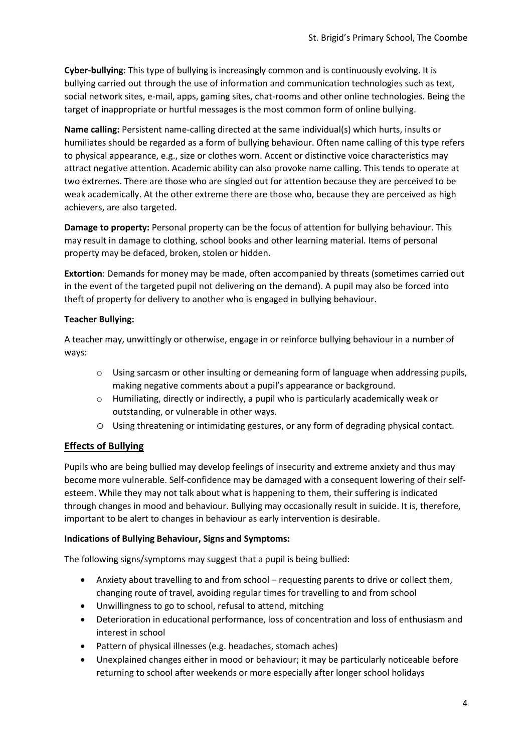**Cyber-bullying**: This type of bullying is increasingly common and is continuously evolving. It is bullying carried out through the use of information and communication technologies such as text, social network sites, e-mail, apps, gaming sites, chat-rooms and other online technologies. Being the target of inappropriate or hurtful messages is the most common form of online bullying.

**Name calling:** Persistent name-calling directed at the same individual(s) which hurts, insults or humiliates should be regarded as a form of bullying behaviour. Often name calling of this type refers to physical appearance, e.g., size or clothes worn. Accent or distinctive voice characteristics may attract negative attention. Academic ability can also provoke name calling. This tends to operate at two extremes. There are those who are singled out for attention because they are perceived to be weak academically. At the other extreme there are those who, because they are perceived as high achievers, are also targeted.

**Damage to property:** Personal property can be the focus of attention for bullying behaviour. This may result in damage to clothing, school books and other learning material. Items of personal property may be defaced, broken, stolen or hidden.

**Extortion**: Demands for money may be made, often accompanied by threats (sometimes carried out in the event of the targeted pupil not delivering on the demand). A pupil may also be forced into theft of property for delivery to another who is engaged in bullying behaviour.

#### **Teacher Bullying:**

A teacher may, unwittingly or otherwise, engage in or reinforce bullying behaviour in a number of ways:

- o Using sarcasm or other insulting or demeaning form of language when addressing pupils, making negative comments about a pupil's appearance or background.
- o Humiliating, directly or indirectly, a pupil who is particularly academically weak or outstanding, or vulnerable in other ways.
- o Using threatening or intimidating gestures, or any form of degrading physical contact.

## **Effects of Bullying**

Pupils who are being bullied may develop feelings of insecurity and extreme anxiety and thus may become more vulnerable. Self-confidence may be damaged with a consequent lowering of their selfesteem. While they may not talk about what is happening to them, their suffering is indicated through changes in mood and behaviour. Bullying may occasionally result in suicide. It is, therefore, important to be alert to changes in behaviour as early intervention is desirable.

### **Indications of Bullying Behaviour, Signs and Symptoms:**

The following signs/symptoms may suggest that a pupil is being bullied:

- Anxiety about travelling to and from school requesting parents to drive or collect them, changing route of travel, avoiding regular times for travelling to and from school
- Unwillingness to go to school, refusal to attend, mitching
- Deterioration in educational performance, loss of concentration and loss of enthusiasm and interest in school
- Pattern of physical illnesses (e.g. headaches, stomach aches)
- Unexplained changes either in mood or behaviour; it may be particularly noticeable before returning to school after weekends or more especially after longer school holidays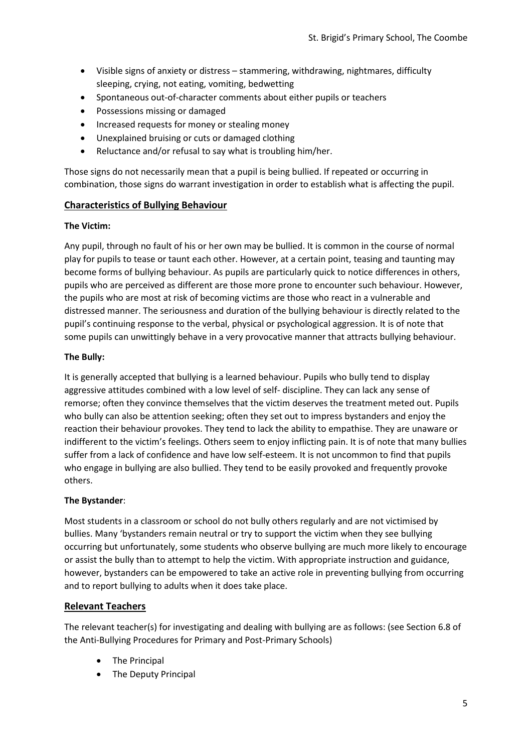- Visible signs of anxiety or distress stammering, withdrawing, nightmares, difficulty sleeping, crying, not eating, vomiting, bedwetting
- Spontaneous out-of-character comments about either pupils or teachers
- Possessions missing or damaged
- Increased requests for money or stealing money
- Unexplained bruising or cuts or damaged clothing
- Reluctance and/or refusal to say what is troubling him/her.

Those signs do not necessarily mean that a pupil is being bullied. If repeated or occurring in combination, those signs do warrant investigation in order to establish what is affecting the pupil.

#### **Characteristics of Bullying Behaviour**

#### **The Victim:**

Any pupil, through no fault of his or her own may be bullied. It is common in the course of normal play for pupils to tease or taunt each other. However, at a certain point, teasing and taunting may become forms of bullying behaviour. As pupils are particularly quick to notice differences in others, pupils who are perceived as different are those more prone to encounter such behaviour. However, the pupils who are most at risk of becoming victims are those who react in a vulnerable and distressed manner. The seriousness and duration of the bullying behaviour is directly related to the pupil's continuing response to the verbal, physical or psychological aggression. It is of note that some pupils can unwittingly behave in a very provocative manner that attracts bullying behaviour.

#### **The Bully:**

It is generally accepted that bullying is a learned behaviour. Pupils who bully tend to display aggressive attitudes combined with a low level of self- discipline. They can lack any sense of remorse; often they convince themselves that the victim deserves the treatment meted out. Pupils who bully can also be attention seeking; often they set out to impress bystanders and enjoy the reaction their behaviour provokes. They tend to lack the ability to empathise. They are unaware or indifferent to the victim's feelings. Others seem to enjoy inflicting pain. It is of note that many bullies suffer from a lack of confidence and have low self-esteem. It is not uncommon to find that pupils who engage in bullying are also bullied. They tend to be easily provoked and frequently provoke others.

#### **The Bystander**:

Most students in a classroom or school do not bully others regularly and are not victimised by bullies. Many 'bystanders remain neutral or try to support the victim when they see bullying occurring but unfortunately, some students who observe bullying are much more likely to encourage or assist the bully than to attempt to help the victim. With appropriate instruction and guidance, however, bystanders can be empowered to take an active role in preventing bullying from occurring and to report bullying to adults when it does take place.

#### **Relevant Teachers**

The relevant teacher(s) for investigating and dealing with bullying are as follows: (see Section 6.8 of the Anti-Bullying Procedures for Primary and Post-Primary Schools)

- The Principal
- The Deputy Principal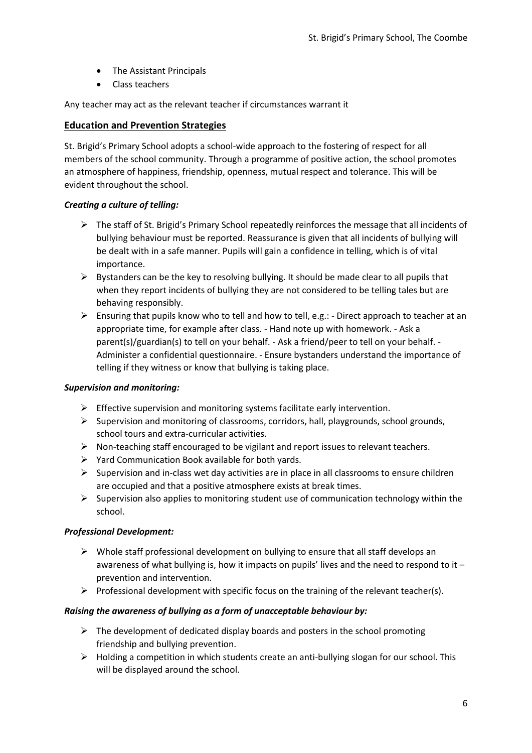- The Assistant Principals
- Class teachers

Any teacher may act as the relevant teacher if circumstances warrant it

#### **Education and Prevention Strategies**

St. Brigid's Primary School adopts a school-wide approach to the fostering of respect for all members of the school community. Through a programme of positive action, the school promotes an atmosphere of happiness, friendship, openness, mutual respect and tolerance. This will be evident throughout the school.

### *Creating a culture of telling:*

- $\triangleright$  The staff of St. Brigid's Primary School repeatedly reinforces the message that all incidents of bullying behaviour must be reported. Reassurance is given that all incidents of bullying will be dealt with in a safe manner. Pupils will gain a confidence in telling, which is of vital importance.
- $\triangleright$  Bystanders can be the key to resolving bullying. It should be made clear to all pupils that when they report incidents of bullying they are not considered to be telling tales but are behaving responsibly.
- Ensuring that pupils know who to tell and how to tell, e.g.: Direct approach to teacher at an appropriate time, for example after class. - Hand note up with homework. - Ask a parent(s)/guardian(s) to tell on your behalf. - Ask a friend/peer to tell on your behalf. - Administer a confidential questionnaire. - Ensure bystanders understand the importance of telling if they witness or know that bullying is taking place.

#### *Supervision and monitoring:*

- $\triangleright$  Effective supervision and monitoring systems facilitate early intervention.
- $\triangleright$  Supervision and monitoring of classrooms, corridors, hall, playgrounds, school grounds, school tours and extra-curricular activities.
- $\triangleright$  Non-teaching staff encouraged to be vigilant and report issues to relevant teachers.
- $\triangleright$  Yard Communication Book available for both yards.
- $\triangleright$  Supervision and in-class wet day activities are in place in all classrooms to ensure children are occupied and that a positive atmosphere exists at break times.
- $\triangleright$  Supervision also applies to monitoring student use of communication technology within the school.

#### *Professional Development:*

- $\triangleright$  Whole staff professional development on bullying to ensure that all staff develops an awareness of what bullying is, how it impacts on pupils' lives and the need to respond to it – prevention and intervention.
- Professional development with specific focus on the training of the relevant teacher(s).

#### *Raising the awareness of bullying as a form of unacceptable behaviour by:*

- $\triangleright$  The development of dedicated display boards and posters in the school promoting friendship and bullying prevention.
- $\triangleright$  Holding a competition in which students create an anti-bullying slogan for our school. This will be displayed around the school.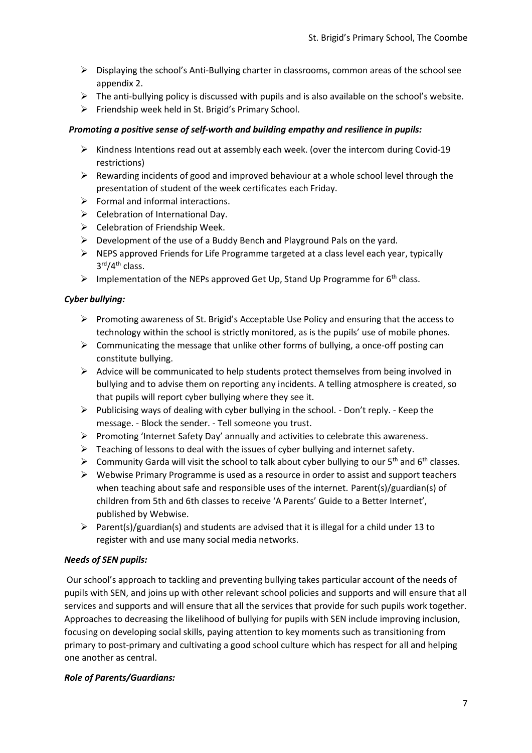- $\triangleright$  Displaying the school's Anti-Bullying charter in classrooms, common areas of the school see appendix 2.
- $\triangleright$  The anti-bullying policy is discussed with pupils and is also available on the school's website.
- $\triangleright$  Friendship week held in St. Brigid's Primary School.

#### *Promoting a positive sense of self-worth and building empathy and resilience in pupils:*

- $\triangleright$  Kindness Intentions read out at assembly each week. (over the intercom during Covid-19 restrictions)
- $\triangleright$  Rewarding incidents of good and improved behaviour at a whole school level through the presentation of student of the week certificates each Friday.
- $\triangleright$  Formal and informal interactions.
- $\triangleright$  Celebration of International Day.
- $\triangleright$  Celebration of Friendship Week.
- Development of the use of a Buddy Bench and Playground Pals on the yard.
- $\triangleright$  NEPS approved Friends for Life Programme targeted at a class level each year, typically 3 rd/4th class.
- Implementation of the NEPs approved Get Up, Stand Up Programme for  $6<sup>th</sup>$  class.

#### *Cyber bullying:*

- $\triangleright$  Promoting awareness of St. Brigid's Acceptable Use Policy and ensuring that the access to technology within the school is strictly monitored, as is the pupils' use of mobile phones.
- $\triangleright$  Communicating the message that unlike other forms of bullying, a once-off posting can constitute bullying.
- $\triangleright$  Advice will be communicated to help students protect themselves from being involved in bullying and to advise them on reporting any incidents. A telling atmosphere is created, so that pupils will report cyber bullying where they see it.
- $\triangleright$  Publicising ways of dealing with cyber bullying in the school. Don't reply. Keep the message. - Block the sender. - Tell someone you trust.
- $\triangleright$  Promoting 'Internet Safety Day' annually and activities to celebrate this awareness.
- $\triangleright$  Teaching of lessons to deal with the issues of cyber bullying and internet safety.
- $\triangleright$  Community Garda will visit the school to talk about cyber bullying to our 5<sup>th</sup> and 6<sup>th</sup> classes.
- $\triangleright$  Webwise Primary Programme is used as a resource in order to assist and support teachers when teaching about safe and responsible uses of the internet. Parent(s)/guardian(s) of children from 5th and 6th classes to receive 'A Parents' Guide to a Better Internet', published by Webwise.
- Parent(s)/guardian(s) and students are advised that it is illegal for a child under 13 to register with and use many social media networks.

### *Needs of SEN pupils:*

Our school's approach to tackling and preventing bullying takes particular account of the needs of pupils with SEN, and joins up with other relevant school policies and supports and will ensure that all services and supports and will ensure that all the services that provide for such pupils work together. Approaches to decreasing the likelihood of bullying for pupils with SEN include improving inclusion, focusing on developing social skills, paying attention to key moments such as transitioning from primary to post-primary and cultivating a good school culture which has respect for all and helping one another as central.

#### *Role of Parents/Guardians:*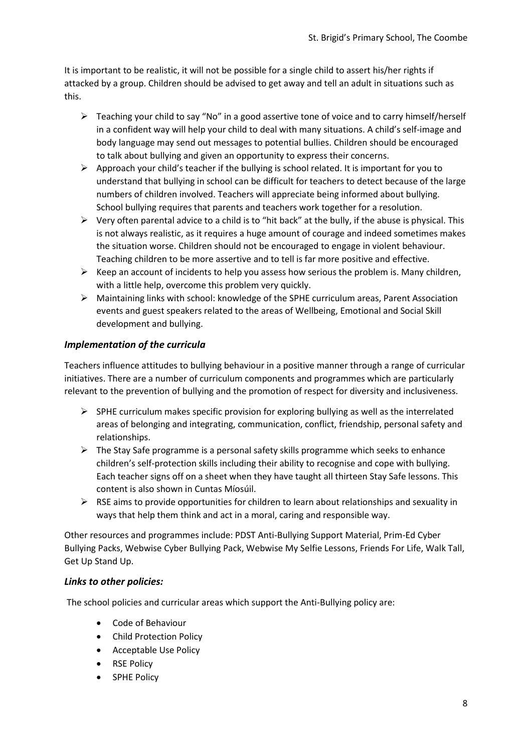It is important to be realistic, it will not be possible for a single child to assert his/her rights if attacked by a group. Children should be advised to get away and tell an adult in situations such as this.

- $\triangleright$  Teaching your child to say "No" in a good assertive tone of voice and to carry himself/herself in a confident way will help your child to deal with many situations. A child's self-image and body language may send out messages to potential bullies. Children should be encouraged to talk about bullying and given an opportunity to express their concerns.
- $\triangleright$  Approach your child's teacher if the bullying is school related. It is important for you to understand that bullying in school can be difficult for teachers to detect because of the large numbers of children involved. Teachers will appreciate being informed about bullying. School bullying requires that parents and teachers work together for a resolution.
- $\triangleright$  Very often parental advice to a child is to "hit back" at the bully, if the abuse is physical. This is not always realistic, as it requires a huge amount of courage and indeed sometimes makes the situation worse. Children should not be encouraged to engage in violent behaviour. Teaching children to be more assertive and to tell is far more positive and effective.
- $\triangleright$  Keep an account of incidents to help you assess how serious the problem is. Many children, with a little help, overcome this problem very quickly.
- Maintaining links with school: knowledge of the SPHE curriculum areas, Parent Association events and guest speakers related to the areas of Wellbeing, Emotional and Social Skill development and bullying.

## *Implementation of the curricula*

Teachers influence attitudes to bullying behaviour in a positive manner through a range of curricular initiatives. There are a number of curriculum components and programmes which are particularly relevant to the prevention of bullying and the promotion of respect for diversity and inclusiveness.

- $\triangleright$  SPHE curriculum makes specific provision for exploring bullying as well as the interrelated areas of belonging and integrating, communication, conflict, friendship, personal safety and relationships.
- $\triangleright$  The Stay Safe programme is a personal safety skills programme which seeks to enhance children's self-protection skills including their ability to recognise and cope with bullying. Each teacher signs off on a sheet when they have taught all thirteen Stay Safe lessons. This content is also shown in Cuntas Míosúil.
- $\triangleright$  RSE aims to provide opportunities for children to learn about relationships and sexuality in ways that help them think and act in a moral, caring and responsible way.

Other resources and programmes include: PDST Anti-Bullying Support Material, Prim-Ed Cyber Bullying Packs, Webwise Cyber Bullying Pack, Webwise My Selfie Lessons, Friends For Life, Walk Tall, Get Up Stand Up.

### *Links to other policies:*

The school policies and curricular areas which support the Anti-Bullying policy are:

- Code of Behaviour
- Child Protection Policy
- Acceptable Use Policy
- RSE Policy
- SPHE Policy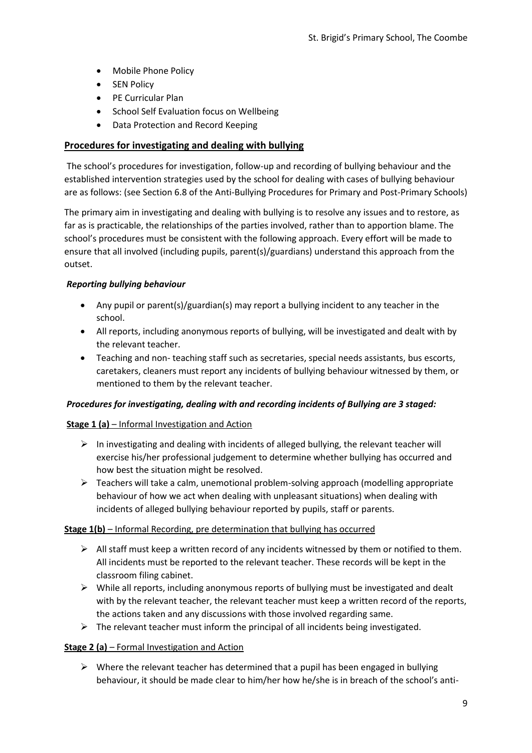- Mobile Phone Policy
- SEN Policy
- PE Curricular Plan
- School Self Evaluation focus on Wellbeing
- Data Protection and Record Keeping

## **Procedures for investigating and dealing with bullying**

The school's procedures for investigation, follow-up and recording of bullying behaviour and the established intervention strategies used by the school for dealing with cases of bullying behaviour are as follows: (see Section 6.8 of the Anti-Bullying Procedures for Primary and Post-Primary Schools)

The primary aim in investigating and dealing with bullying is to resolve any issues and to restore, as far as is practicable, the relationships of the parties involved, rather than to apportion blame. The school's procedures must be consistent with the following approach. Every effort will be made to ensure that all involved (including pupils, parent(s)/guardians) understand this approach from the outset.

#### *Reporting bullying behaviour*

- Any pupil or parent(s)/guardian(s) may report a bullying incident to any teacher in the school.
- All reports, including anonymous reports of bullying, will be investigated and dealt with by the relevant teacher.
- Teaching and non- teaching staff such as secretaries, special needs assistants, bus escorts, caretakers, cleaners must report any incidents of bullying behaviour witnessed by them, or mentioned to them by the relevant teacher.

### *Procedures for investigating, dealing with and recording incidents of Bullying are 3 staged:*

### **Stage 1 (a)** – Informal Investigation and Action

- $\triangleright$  In investigating and dealing with incidents of alleged bullying, the relevant teacher will exercise his/her professional judgement to determine whether bullying has occurred and how best the situation might be resolved.
- $\triangleright$  Teachers will take a calm, unemotional problem-solving approach (modelling appropriate behaviour of how we act when dealing with unpleasant situations) when dealing with incidents of alleged bullying behaviour reported by pupils, staff or parents.

### **Stage 1(b)** – Informal Recording, pre determination that bullying has occurred

- $\triangleright$  All staff must keep a written record of any incidents witnessed by them or notified to them. All incidents must be reported to the relevant teacher. These records will be kept in the classroom filing cabinet.
- $\triangleright$  While all reports, including anonymous reports of bullying must be investigated and dealt with by the relevant teacher, the relevant teacher must keep a written record of the reports, the actions taken and any discussions with those involved regarding same.
- $\triangleright$  The relevant teacher must inform the principal of all incidents being investigated.

### **Stage 2 (a)** – Formal Investigation and Action

 $\triangleright$  Where the relevant teacher has determined that a pupil has been engaged in bullying behaviour, it should be made clear to him/her how he/she is in breach of the school's anti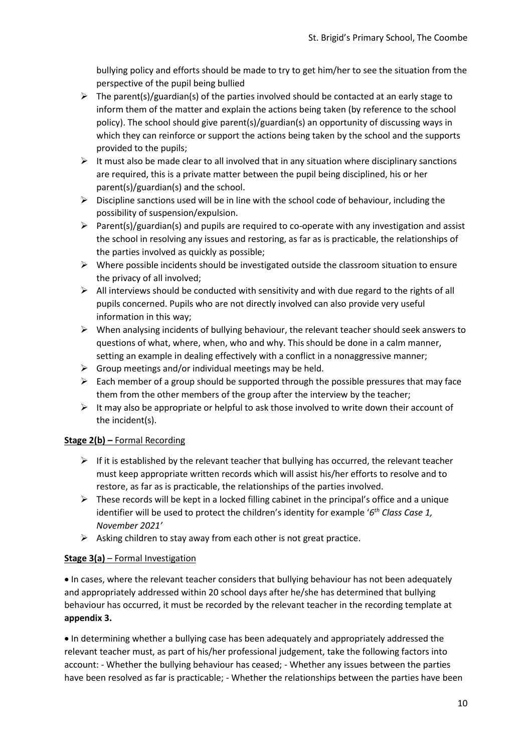bullying policy and efforts should be made to try to get him/her to see the situation from the perspective of the pupil being bullied

- $\triangleright$  The parent(s)/guardian(s) of the parties involved should be contacted at an early stage to inform them of the matter and explain the actions being taken (by reference to the school policy). The school should give parent(s)/guardian(s) an opportunity of discussing ways in which they can reinforce or support the actions being taken by the school and the supports provided to the pupils;
- $\triangleright$  It must also be made clear to all involved that in any situation where disciplinary sanctions are required, this is a private matter between the pupil being disciplined, his or her parent(s)/guardian(s) and the school.
- $\triangleright$  Discipline sanctions used will be in line with the school code of behaviour, including the possibility of suspension/expulsion.
- $\triangleright$  Parent(s)/guardian(s) and pupils are required to co-operate with any investigation and assist the school in resolving any issues and restoring, as far as is practicable, the relationships of the parties involved as quickly as possible;
- $\triangleright$  Where possible incidents should be investigated outside the classroom situation to ensure the privacy of all involved;
- $\triangleright$  All interviews should be conducted with sensitivity and with due regard to the rights of all pupils concerned. Pupils who are not directly involved can also provide very useful information in this way;
- $\triangleright$  When analysing incidents of bullying behaviour, the relevant teacher should seek answers to questions of what, where, when, who and why. This should be done in a calm manner, setting an example in dealing effectively with a conflict in a nonaggressive manner;
- $\triangleright$  Group meetings and/or individual meetings may be held.
- $\triangleright$  Each member of a group should be supported through the possible pressures that may face them from the other members of the group after the interview by the teacher;
- $\triangleright$  It may also be appropriate or helpful to ask those involved to write down their account of the incident(s).

### **Stage 2(b) –** Formal Recording

- $\triangleright$  If it is established by the relevant teacher that bullying has occurred, the relevant teacher must keep appropriate written records which will assist his/her efforts to resolve and to restore, as far as is practicable, the relationships of the parties involved.
- $\triangleright$  These records will be kept in a locked filling cabinet in the principal's office and a unique identifier will be used to protect the children's identity for example '*6 th Class Case 1, November 2021'*
- $\triangleright$  Asking children to stay away from each other is not great practice.

### **Stage 3(a)** – Formal Investigation

 In cases, where the relevant teacher considers that bullying behaviour has not been adequately and appropriately addressed within 20 school days after he/she has determined that bullying behaviour has occurred, it must be recorded by the relevant teacher in the recording template at **appendix 3.**

 In determining whether a bullying case has been adequately and appropriately addressed the relevant teacher must, as part of his/her professional judgement, take the following factors into account: - Whether the bullying behaviour has ceased; - Whether any issues between the parties have been resolved as far is practicable; - Whether the relationships between the parties have been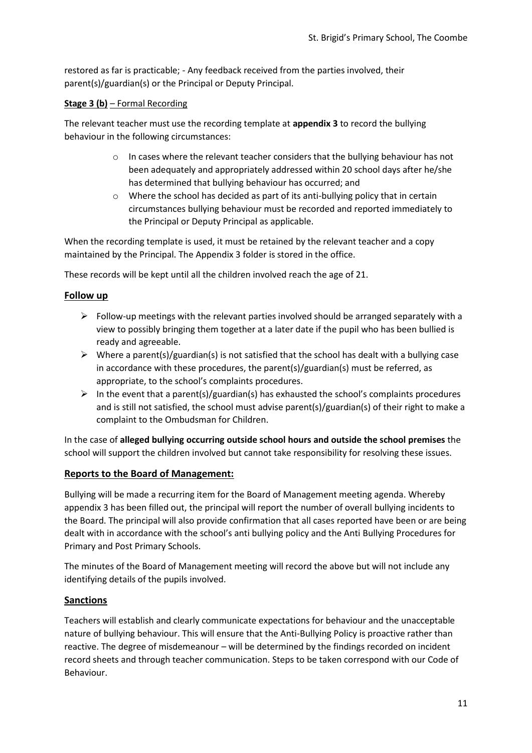restored as far is practicable; - Any feedback received from the parties involved, their parent(s)/guardian(s) or the Principal or Deputy Principal.

#### **Stage 3 (b)** – Formal Recording

The relevant teacher must use the recording template at **appendix 3** to record the bullying behaviour in the following circumstances:

- $\circ$  In cases where the relevant teacher considers that the bullying behaviour has not been adequately and appropriately addressed within 20 school days after he/she has determined that bullying behaviour has occurred; and
- o Where the school has decided as part of its anti-bullying policy that in certain circumstances bullying behaviour must be recorded and reported immediately to the Principal or Deputy Principal as applicable.

When the recording template is used, it must be retained by the relevant teacher and a copy maintained by the Principal. The Appendix 3 folder is stored in the office.

These records will be kept until all the children involved reach the age of 21.

### **Follow up**

- $\triangleright$  Follow-up meetings with the relevant parties involved should be arranged separately with a view to possibly bringing them together at a later date if the pupil who has been bullied is ready and agreeable.
- $\triangleright$  Where a parent(s)/guardian(s) is not satisfied that the school has dealt with a bullying case in accordance with these procedures, the parent(s)/guardian(s) must be referred, as appropriate, to the school's complaints procedures.
- $\triangleright$  In the event that a parent(s)/guardian(s) has exhausted the school's complaints procedures and is still not satisfied, the school must advise parent(s)/guardian(s) of their right to make a complaint to the Ombudsman for Children.

In the case of **alleged bullying occurring outside school hours and outside the school premises** the school will support the children involved but cannot take responsibility for resolving these issues.

### **Reports to the Board of Management:**

Bullying will be made a recurring item for the Board of Management meeting agenda. Whereby appendix 3 has been filled out, the principal will report the number of overall bullying incidents to the Board. The principal will also provide confirmation that all cases reported have been or are being dealt with in accordance with the school's anti bullying policy and the Anti Bullying Procedures for Primary and Post Primary Schools.

The minutes of the Board of Management meeting will record the above but will not include any identifying details of the pupils involved.

### **Sanctions**

Teachers will establish and clearly communicate expectations for behaviour and the unacceptable nature of bullying behaviour. This will ensure that the Anti-Bullying Policy is proactive rather than reactive. The degree of misdemeanour – will be determined by the findings recorded on incident record sheets and through teacher communication. Steps to be taken correspond with our Code of Behaviour.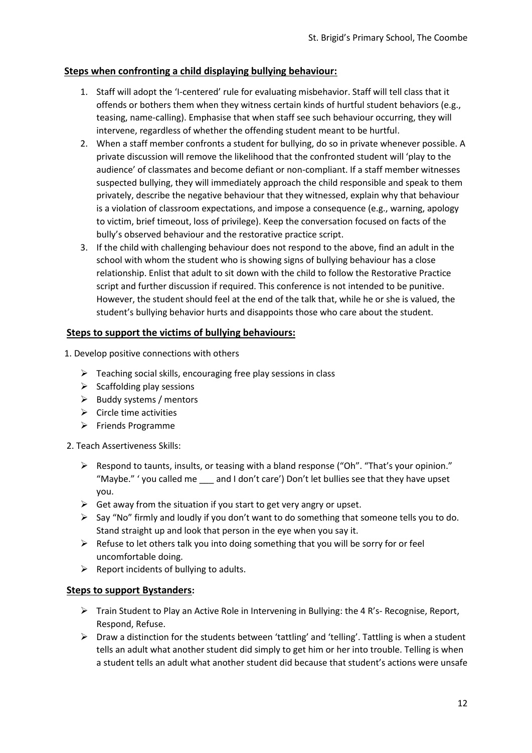## **Steps when confronting a child displaying bullying behaviour:**

- 1. Staff will adopt the 'I-centered' rule for evaluating misbehavior. Staff will tell class that it offends or bothers them when they witness certain kinds of hurtful student behaviors (e.g., teasing, name-calling). Emphasise that when staff see such behaviour occurring, they will intervene, regardless of whether the offending student meant to be hurtful.
- 2. When a staff member confronts a student for bullying, do so in private whenever possible. A private discussion will remove the likelihood that the confronted student will 'play to the audience' of classmates and become defiant or non-compliant. If a staff member witnesses suspected bullying, they will immediately approach the child responsible and speak to them privately, describe the negative behaviour that they witnessed, explain why that behaviour is a violation of classroom expectations, and impose a consequence (e.g., warning, apology to victim, brief timeout, loss of privilege). Keep the conversation focused on facts of the bully's observed behaviour and the restorative practice script.
- 3. If the child with challenging behaviour does not respond to the above, find an adult in the school with whom the student who is showing signs of bullying behaviour has a close relationship. Enlist that adult to sit down with the child to follow the Restorative Practice script and further discussion if required. This conference is not intended to be punitive. However, the student should feel at the end of the talk that, while he or she is valued, the student's bullying behavior hurts and disappoints those who care about the student.

### **Steps to support the victims of bullying behaviours:**

- 1. Develop positive connections with others
	- $\triangleright$  Teaching social skills, encouraging free play sessions in class
	- $\triangleright$  Scaffolding play sessions
	- $\triangleright$  Buddy systems / mentors
	- $\triangleright$  Circle time activities
	- $\triangleright$  Friends Programme
- 2. Teach Assertiveness Skills:
	- $\triangleright$  Respond to taunts, insults, or teasing with a bland response ("Oh", "That's your opinion." "Maybe." ' you called me \_\_\_ and I don't care') Don't let bullies see that they have upset you.
	- $\triangleright$  Get away from the situation if you start to get very angry or upset.
	- $\triangleright$  Say "No" firmly and loudly if you don't want to do something that someone tells you to do. Stand straight up and look that person in the eye when you say it.
	- $\triangleright$  Refuse to let others talk you into doing something that you will be sorry for or feel uncomfortable doing.
	- $\triangleright$  Report incidents of bullying to adults.

### **Steps to support Bystanders:**

- $\triangleright$  Train Student to Play an Active Role in Intervening in Bullying: the 4 R's- Recognise, Report, Respond, Refuse.
- $\triangleright$  Draw a distinction for the students between 'tattling' and 'telling'. Tattling is when a student tells an adult what another student did simply to get him or her into trouble. Telling is when a student tells an adult what another student did because that student's actions were unsafe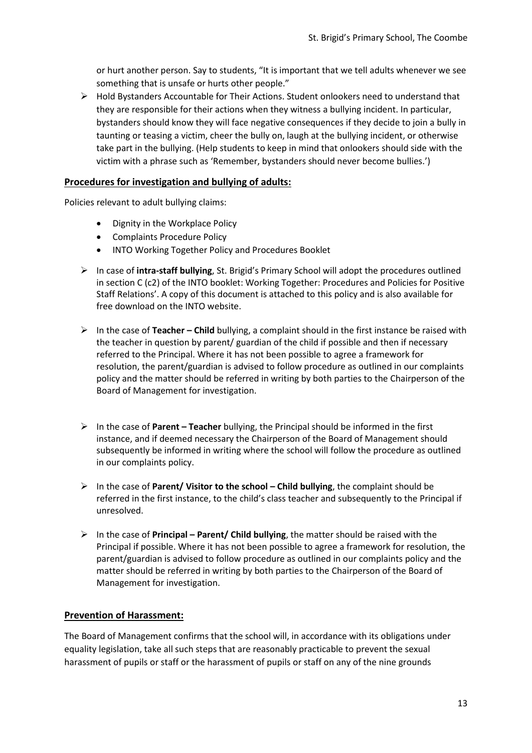or hurt another person. Say to students, "It is important that we tell adults whenever we see something that is unsafe or hurts other people."

 $\triangleright$  Hold Bystanders Accountable for Their Actions. Student onlookers need to understand that they are responsible for their actions when they witness a bullying incident. In particular, bystanders should know they will face negative consequences if they decide to join a bully in taunting or teasing a victim, cheer the bully on, laugh at the bullying incident, or otherwise take part in the bullying. (Help students to keep in mind that onlookers should side with the victim with a phrase such as 'Remember, bystanders should never become bullies.')

### **Procedures for investigation and bullying of adults:**

Policies relevant to adult bullying claims:

- Dignity in the Workplace Policy
- Complaints Procedure Policy
- INTO Working Together Policy and Procedures Booklet
- In case of **intra-staff bullying**, St. Brigid's Primary School will adopt the procedures outlined in section C (c2) of the INTO booklet: Working Together: Procedures and Policies for Positive Staff Relations'. A copy of this document is attached to this policy and is also available for free download on the INTO website.
- In the case of **Teacher – Child** bullying, a complaint should in the first instance be raised with the teacher in question by parent/ guardian of the child if possible and then if necessary referred to the Principal. Where it has not been possible to agree a framework for resolution, the parent/guardian is advised to follow procedure as outlined in our complaints policy and the matter should be referred in writing by both parties to the Chairperson of the Board of Management for investigation.
- In the case of **Parent – Teacher** bullying, the Principal should be informed in the first instance, and if deemed necessary the Chairperson of the Board of Management should subsequently be informed in writing where the school will follow the procedure as outlined in our complaints policy.
- In the case of **Parent/ Visitor to the school – Child bullying**, the complaint should be referred in the first instance, to the child's class teacher and subsequently to the Principal if unresolved.
- In the case of **Principal – Parent/ Child bullying**, the matter should be raised with the Principal if possible. Where it has not been possible to agree a framework for resolution, the parent/guardian is advised to follow procedure as outlined in our complaints policy and the matter should be referred in writing by both parties to the Chairperson of the Board of Management for investigation.

### **Prevention of Harassment:**

The Board of Management confirms that the school will, in accordance with its obligations under equality legislation, take all such steps that are reasonably practicable to prevent the sexual harassment of pupils or staff or the harassment of pupils or staff on any of the nine grounds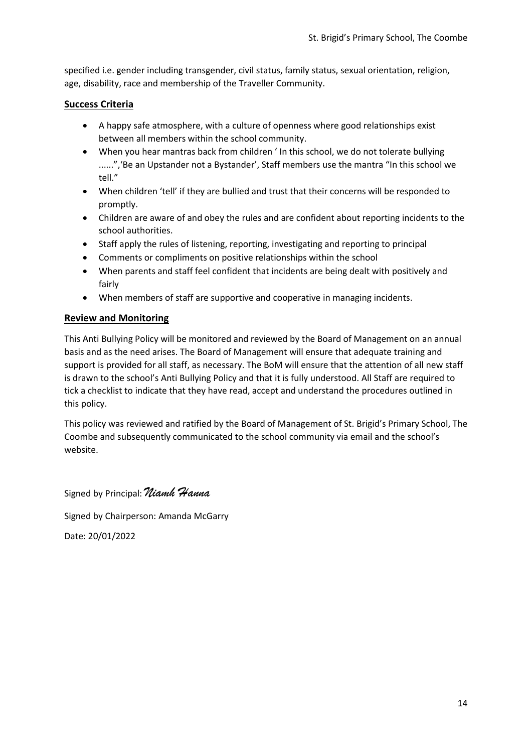specified i.e. gender including transgender, civil status, family status, sexual orientation, religion, age, disability, race and membership of the Traveller Community.

### **Success Criteria**

- A happy safe atmosphere, with a culture of openness where good relationships exist between all members within the school community.
- When you hear mantras back from children ' In this school, we do not tolerate bullying ......",'Be an Upstander not a Bystander', Staff members use the mantra "In this school we tell."
- When children 'tell' if they are bullied and trust that their concerns will be responded to promptly.
- Children are aware of and obey the rules and are confident about reporting incidents to the school authorities.
- Staff apply the rules of listening, reporting, investigating and reporting to principal
- Comments or compliments on positive relationships within the school
- When parents and staff feel confident that incidents are being dealt with positively and fairly
- When members of staff are supportive and cooperative in managing incidents.

## **Review and Monitoring**

This Anti Bullying Policy will be monitored and reviewed by the Board of Management on an annual basis and as the need arises. The Board of Management will ensure that adequate training and support is provided for all staff, as necessary. The BoM will ensure that the attention of all new staff is drawn to the school's Anti Bullying Policy and that it is fully understood. All Staff are required to tick a checklist to indicate that they have read, accept and understand the procedures outlined in this policy.

This policy was reviewed and ratified by the Board of Management of St. Brigid's Primary School, The Coombe and subsequently communicated to the school community via email and the school's website.

Signed by Principal: *Niamh Hanna*

Signed by Chairperson: Amanda McGarry

Date: 20/01/2022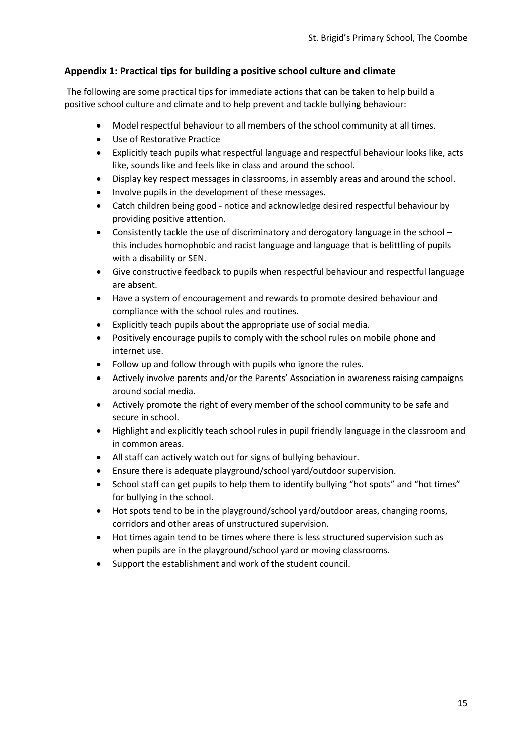## **Appendix 1: Practical tips for building a positive school culture and climate**

The following are some practical tips for immediate actions that can be taken to help build a positive school culture and climate and to help prevent and tackle bullying behaviour:

- Model respectful behaviour to all members of the school community at all times.
- Use of Restorative Practice
- Explicitly teach pupils what respectful language and respectful behaviour looks like, acts like, sounds like and feels like in class and around the school.
- Display key respect messages in classrooms, in assembly areas and around the school.
- Involve pupils in the development of these messages.
- Catch children being good notice and acknowledge desired respectful behaviour by providing positive attention.
- Consistently tackle the use of discriminatory and derogatory language in the school this includes homophobic and racist language and language that is belittling of pupils with a disability or SEN.
- Give constructive feedback to pupils when respectful behaviour and respectful language are absent.
- Have a system of encouragement and rewards to promote desired behaviour and compliance with the school rules and routines.
- Explicitly teach pupils about the appropriate use of social media.
- Positively encourage pupils to comply with the school rules on mobile phone and internet use.
- Follow up and follow through with pupils who ignore the rules.
- Actively involve parents and/or the Parents' Association in awareness raising campaigns around social media.
- Actively promote the right of every member of the school community to be safe and secure in school.
- Highlight and explicitly teach school rules in pupil friendly language in the classroom and in common areas.
- All staff can actively watch out for signs of bullying behaviour.
- Ensure there is adequate playground/school yard/outdoor supervision.
- School staff can get pupils to help them to identify bullying "hot spots" and "hot times" for bullying in the school.
- Hot spots tend to be in the playground/school yard/outdoor areas, changing rooms, corridors and other areas of unstructured supervision.
- Hot times again tend to be times where there is less structured supervision such as when pupils are in the playground/school yard or moving classrooms.
- Support the establishment and work of the student council.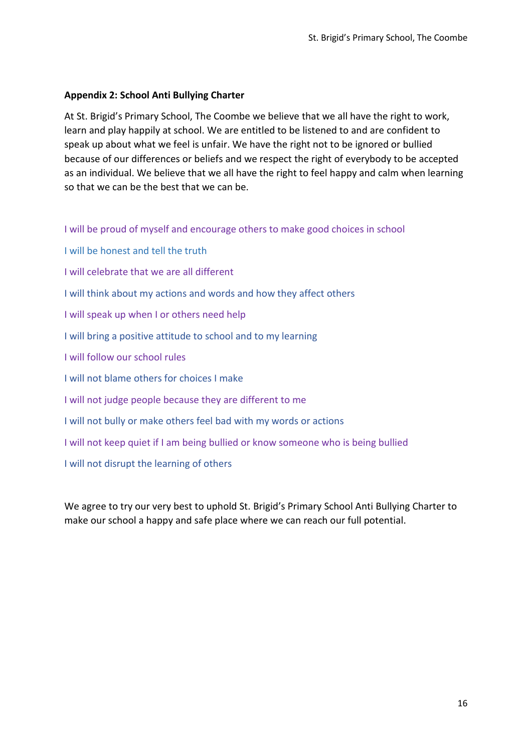## **Appendix 2: School Anti Bullying Charter**

At St. Brigid's Primary School, The Coombe we believe that we all have the right to work, learn and play happily at school. We are entitled to be listened to and are confident to speak up about what we feel is unfair. We have the right not to be ignored or bullied because of our differences or beliefs and we respect the right of everybody to be accepted as an individual. We believe that we all have the right to feel happy and calm when learning so that we can be the best that we can be.

I will be proud of myself and encourage others to make good choices in school

- I will be honest and tell the truth
- I will celebrate that we are all different
- I will think about my actions and words and how they affect others
- I will speak up when I or others need help
- I will bring a positive attitude to school and to my learning
- I will follow our school rules
- I will not blame others for choices I make
- I will not judge people because they are different to me
- I will not bully or make others feel bad with my words or actions
- I will not keep quiet if I am being bullied or know someone who is being bullied
- I will not disrupt the learning of others

We agree to try our very best to uphold St. Brigid's Primary School Anti Bullying Charter to make our school a happy and safe place where we can reach our full potential.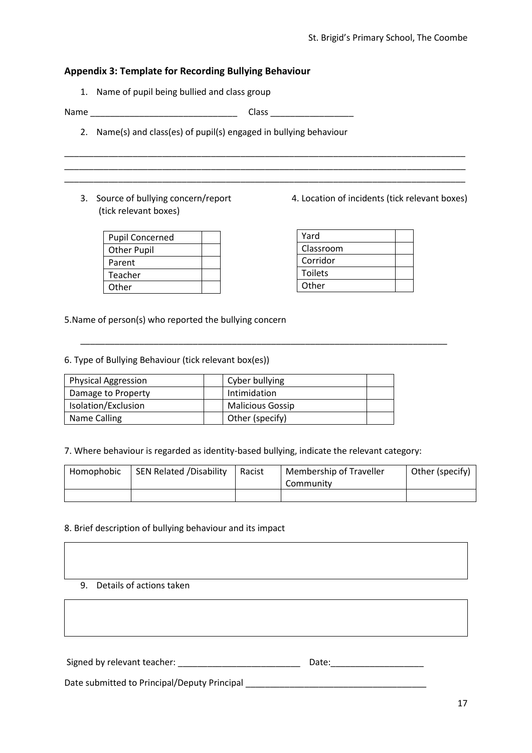### **Appendix 3: Template for Recording Bullying Behaviour**

1. Name of pupil being bullied and class group

Name \_\_\_\_\_\_\_\_\_\_\_\_\_\_\_\_\_\_\_\_\_\_\_\_\_\_\_\_\_\_ Class \_\_\_\_\_\_\_\_\_\_\_\_\_\_\_\_\_

\_\_\_\_\_\_\_\_\_\_\_\_\_\_\_\_\_\_\_\_\_\_\_\_\_\_\_\_\_\_\_\_\_\_\_\_\_\_\_\_\_\_\_\_\_\_\_\_\_\_\_\_\_\_\_\_\_\_\_\_\_\_\_\_\_\_\_\_\_\_\_\_\_\_\_\_\_\_\_\_\_\_ \_\_\_\_\_\_\_\_\_\_\_\_\_\_\_\_\_\_\_\_\_\_\_\_\_\_\_\_\_\_\_\_\_\_\_\_\_\_\_\_\_\_\_\_\_\_\_\_\_\_\_\_\_\_\_\_\_\_\_\_\_\_\_\_\_\_\_\_\_\_\_\_\_\_\_\_\_\_\_\_\_\_ \_\_\_\_\_\_\_\_\_\_\_\_\_\_\_\_\_\_\_\_\_\_\_\_\_\_\_\_\_\_\_\_\_\_\_\_\_\_\_\_\_\_\_\_\_\_\_\_\_\_\_\_\_\_\_\_\_\_\_\_\_\_\_\_\_\_\_\_\_\_\_\_\_\_\_\_\_\_\_\_\_\_

- 2. Name(s) and class(es) of pupil(s) engaged in bullying behaviour
- (tick relevant boxes)

| <b>Pupil Concerned</b> |  |
|------------------------|--|
| <b>Other Pupil</b>     |  |
| Parent                 |  |
| Teacher                |  |
| Other                  |  |

3. Source of bullying concern/report 4. Location of incidents (tick relevant boxes)

| Yard           |  |
|----------------|--|
| Classroom      |  |
| Corridor       |  |
| <b>Toilets</b> |  |
| Other          |  |

5.Name of person(s) who reported the bullying concern

#### 6. Type of Bullying Behaviour (tick relevant box(es))

| <b>Physical Aggression</b> | Cyber bullying          |  |
|----------------------------|-------------------------|--|
| Damage to Property         | Intimidation            |  |
| Isolation/Exclusion        | <b>Malicious Gossip</b> |  |
| Name Calling               | Other (specify)         |  |

#### 7. Where behaviour is regarded as identity-based bullying, indicate the relevant category:

| Homophobic | <b>SEN Related /Disability</b> | Racist | Membership of Traveller<br>Community | Other (specify) |
|------------|--------------------------------|--------|--------------------------------------|-----------------|
|            |                                |        |                                      |                 |

\_\_\_\_\_\_\_\_\_\_\_\_\_\_\_\_\_\_\_\_\_\_\_\_\_\_\_\_\_\_\_\_\_\_\_\_\_\_\_\_\_\_\_\_\_\_\_\_\_\_\_\_\_\_\_\_\_\_\_\_\_\_\_\_\_\_\_\_\_\_\_\_\_\_\_

#### 8. Brief description of bullying behaviour and its impact

9. Details of actions taken

Signed by relevant teacher: \_\_\_\_\_\_\_\_\_\_\_\_\_\_\_\_\_\_\_\_\_\_\_\_\_ Date:\_\_\_\_\_\_\_\_\_\_\_\_\_\_\_\_\_\_\_

Date submitted to Principal/Deputy Principal \_\_\_\_\_\_\_\_\_\_\_\_\_\_\_\_\_\_\_\_\_\_\_\_\_\_\_\_\_\_\_\_\_\_\_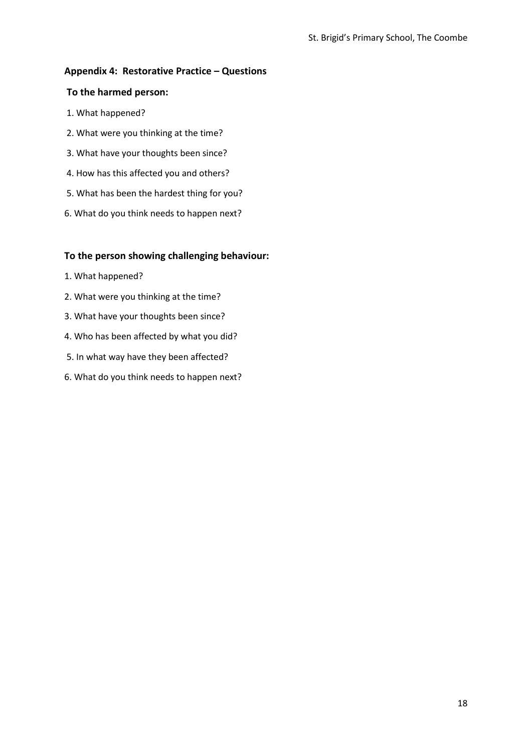## **Appendix 4: Restorative Practice – Questions**

### **To the harmed person:**

- 1. What happened?
- 2. What were you thinking at the time?
- 3. What have your thoughts been since?
- 4. How has this affected you and others?
- 5. What has been the hardest thing for you?
- 6. What do you think needs to happen next?

## **To the person showing challenging behaviour:**

- 1. What happened?
- 2. What were you thinking at the time?
- 3. What have your thoughts been since?
- 4. Who has been affected by what you did?
- 5. In what way have they been affected?
- 6. What do you think needs to happen next?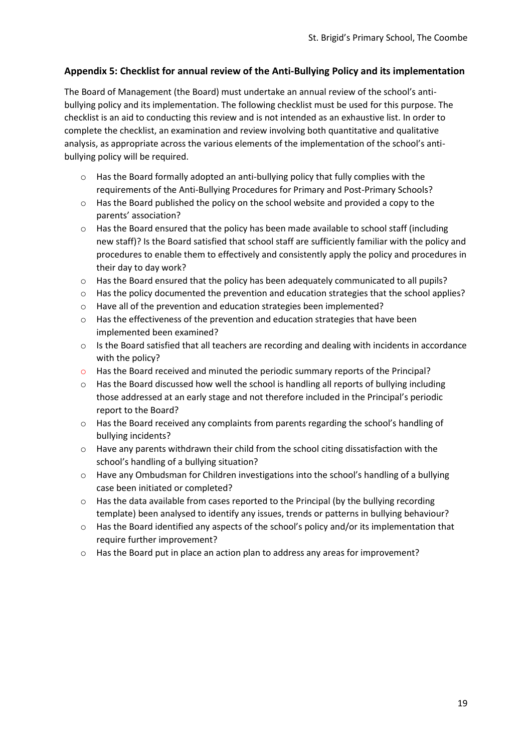## **Appendix 5: Checklist for annual review of the Anti-Bullying Policy and its implementation**

The Board of Management (the Board) must undertake an annual review of the school's antibullying policy and its implementation. The following checklist must be used for this purpose. The checklist is an aid to conducting this review and is not intended as an exhaustive list. In order to complete the checklist, an examination and review involving both quantitative and qualitative analysis, as appropriate across the various elements of the implementation of the school's antibullying policy will be required.

- $\circ$  Has the Board formally adopted an anti-bullying policy that fully complies with the requirements of the Anti-Bullying Procedures for Primary and Post-Primary Schools?
- $\circ$  Has the Board published the policy on the school website and provided a copy to the parents' association?
- o Has the Board ensured that the policy has been made available to school staff (including new staff)? Is the Board satisfied that school staff are sufficiently familiar with the policy and procedures to enable them to effectively and consistently apply the policy and procedures in their day to day work?
- $\circ$  Has the Board ensured that the policy has been adequately communicated to all pupils?
- o Has the policy documented the prevention and education strategies that the school applies?
- o Have all of the prevention and education strategies been implemented?
- $\circ$  Has the effectiveness of the prevention and education strategies that have been implemented been examined?
- $\circ$  Is the Board satisfied that all teachers are recording and dealing with incidents in accordance with the policy?
- o Has the Board received and minuted the periodic summary reports of the Principal?
- o Has the Board discussed how well the school is handling all reports of bullying including those addressed at an early stage and not therefore included in the Principal's periodic report to the Board?
- $\circ$  Has the Board received any complaints from parents regarding the school's handling of bullying incidents?
- o Have any parents withdrawn their child from the school citing dissatisfaction with the school's handling of a bullying situation?
- $\circ$  Have any Ombudsman for Children investigations into the school's handling of a bullying case been initiated or completed?
- $\circ$  Has the data available from cases reported to the Principal (by the bullying recording template) been analysed to identify any issues, trends or patterns in bullying behaviour?
- $\circ$  Has the Board identified any aspects of the school's policy and/or its implementation that require further improvement?
- o Has the Board put in place an action plan to address any areas for improvement?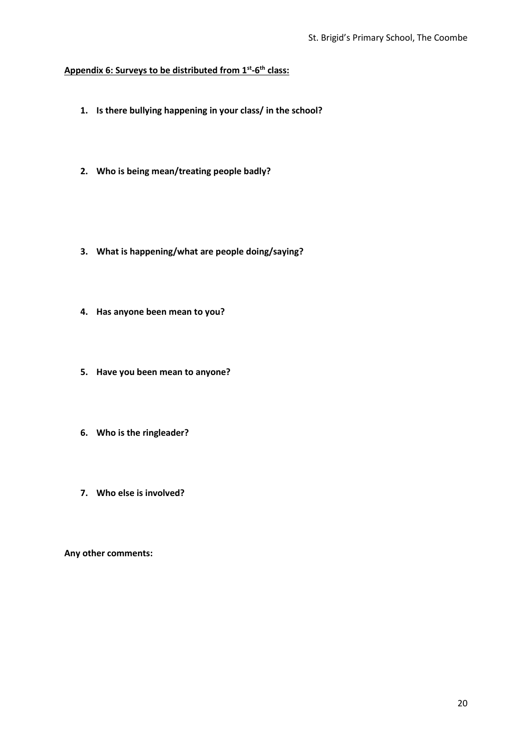#### **Appendix 6: Surveys to be distributed from 1st -6 th class:**

- **1. Is there bullying happening in your class/ in the school?**
- **2. Who is being mean/treating people badly?**
- **3. What is happening/what are people doing/saying?**
- **4. Has anyone been mean to you?**
- **5. Have you been mean to anyone?**
- **6. Who is the ringleader?**
- **7. Who else is involved?**

**Any other comments:**